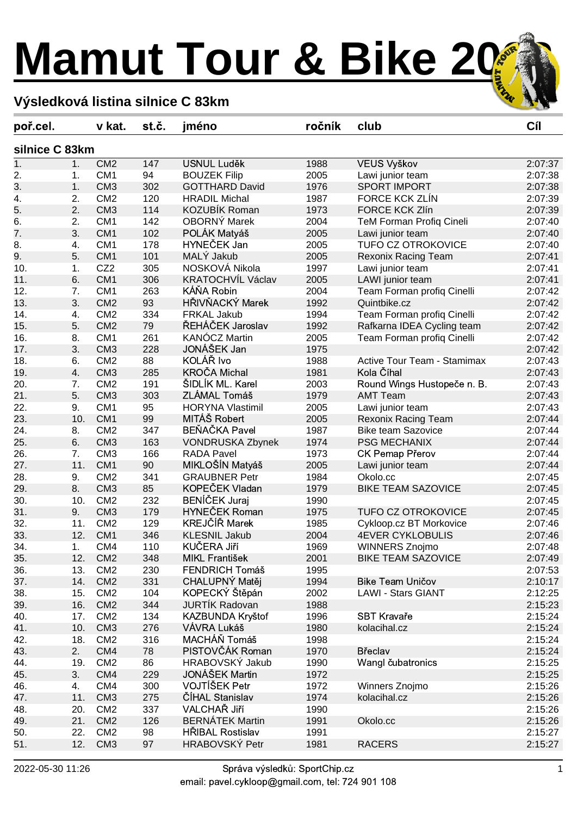## **Mamut Tour & Bike 202**

## **Výsledková listina silnice C 83km**

| poř.cel.         |           | v kat.          | st.č. | jméno                    | ročník | club                            | Cíl     |  |
|------------------|-----------|-----------------|-------|--------------------------|--------|---------------------------------|---------|--|
| silnice C 83km   |           |                 |       |                          |        |                                 |         |  |
| $\overline{1}$ . | 1.        | CM <sub>2</sub> | 147   | <b>USNUL Luděk</b>       | 1988   | VEUS Vyškov                     | 2:07:37 |  |
| 2.               | 1.        | CM <sub>1</sub> | 94    | <b>BOUZEK Filip</b>      | 2005   | Lawi junior team                | 2:07:38 |  |
| 3.               | 1.        | CM <sub>3</sub> | 302   | <b>GOTTHARD David</b>    | 1976   | <b>SPORT IMPORT</b>             | 2:07:38 |  |
| 4.               | 2.        | CM <sub>2</sub> | 120   | <b>HRADIL Michal</b>     | 1987   | FORCE KCK ZLÍN                  | 2:07:39 |  |
| 5.               | 2.        | CM <sub>3</sub> | 114   | <b>KOZUBÍK Roman</b>     | 1973   | <b>FORCE KCK Zlín</b>           | 2:07:39 |  |
| 6.               | 2.        | CM <sub>1</sub> | 142   | <b>OBORNÝ Marek</b>      | 2004   | <b>TeM Forman Profiq Cineli</b> | 2:07:40 |  |
| 7.               | 3.        | CM <sub>1</sub> | 102   | POLÁK Matyáš             | 2005   | Lawi junior team                | 2:07:40 |  |
| 8.               | 4.        | CM <sub>1</sub> | 178   | HYNEČEK Jan              | 2005   | <b>TUFO CZ OTROKOVICE</b>       | 2:07:40 |  |
| 9.               | 5.        | CM <sub>1</sub> | 101   | MALÝ Jakub               | 2005   | Rexonix Racing Team             | 2:07:41 |  |
| 10.              | 1.        | CZ <sub>2</sub> | 305   | NOSKOVÁ Nikola           | 1997   | Lawi junior team                | 2:07:41 |  |
| 11.              | 6.        | CM <sub>1</sub> | 306   | <b>KRATOCHVÍL Václav</b> | 2005   | LAWI junior team                | 2:07:41 |  |
| 12.              | 7.        | CM <sub>1</sub> | 263   | KÁŇA Robin               | 2004   | Team Forman profiq Cinelli      | 2:07:42 |  |
| 13.              | 3.        | CM <sub>2</sub> | 93    | HŘIVŇACKÝ Marek          | 1992   | Quintbike.cz                    | 2:07:42 |  |
| 14.              | 4.        | CM <sub>2</sub> | 334   | FRKAL Jakub              | 1994   | Team Forman profiq Cinelli      | 2:07:42 |  |
| 15.              | 5.        | CM <sub>2</sub> | 79    | ŘEHÁČEK Jaroslav         | 1992   | Rafkarna IDEA Cycling team      | 2:07:42 |  |
| 16.              | 8.        | CM <sub>1</sub> | 261   | KANÓCZ Martin            | 2005   | Team Forman profiq Cinelli      | 2:07:42 |  |
| 17.              | 3.        | CM <sub>3</sub> | 228   | JONÁŠEK Jan              | 1975   |                                 | 2:07:42 |  |
| 18.              | 6.        | CM <sub>2</sub> | 88    | KOLÁŘ Ivo                | 1988   | Active Tour Team - Stamimax     | 2:07:43 |  |
| 19.              | 4.        | CM <sub>3</sub> | 285   | <b>KROČA Michal</b>      | 1981   | Kola Číhal                      | 2:07:43 |  |
| 20.              | 7.        | CM <sub>2</sub> | 191   | ŠIDLÍK ML. Karel         | 2003   | Round Wings Hustopeče n. B.     | 2:07:43 |  |
| 21.              | 5.        | CM <sub>3</sub> | 303   | ZLÁMAL Tomáš             | 1979   | <b>AMT Team</b>                 | 2:07:43 |  |
| 22.              | 9.        | CM <sub>1</sub> | 95    | <b>HORYNA Vlastimil</b>  | 2005   | Lawi junior team                | 2:07:43 |  |
| 23.              | 10.       | CM <sub>1</sub> | 99    | MITÁŠ Robert             | 2005   | Rexonix Racing Team             | 2:07:44 |  |
| 24.              | 8.        | CM <sub>2</sub> | 347   | <b>BEŇAČKA Pavel</b>     | 1987   | <b>Bike team Sazovice</b>       | 2:07:44 |  |
| 25.              | 6.        | CM <sub>3</sub> | 163   | VONDRUSKA Zbynek         | 1974   | <b>PSG MECHANIX</b>             | 2:07:44 |  |
| 26.              | 7.        | CM <sub>3</sub> | 166   | <b>RADA Pavel</b>        | 1973   | <b>CK Pemap Přerov</b>          | 2:07:44 |  |
| 27.              | 11.       | CM <sub>1</sub> | 90    | MIKLOŠÍN Matyáš          | 2005   | Lawi junior team                | 2:07:44 |  |
| 28.              | 9.        | CM <sub>2</sub> | 341   | <b>GRAUBNER Petr</b>     | 1984   | Okolo.cc                        | 2:07:45 |  |
| 29.              | 8.        | CM <sub>3</sub> | 85    | KOPEČEK Vladan           | 1979   | <b>BIKE TEAM SAZOVICE</b>       | 2:07:45 |  |
| 30.              | 10.       | CM <sub>2</sub> | 232   | <b>BENÍČEK Juraj</b>     | 1990   |                                 | 2:07:45 |  |
| 31.              | 9.        | CM <sub>3</sub> | 179   | <b>HYNEČEK Roman</b>     | 1975   | <b>TUFO CZ OTROKOVICE</b>       | 2:07:45 |  |
| 32.              | 11.       | CM <sub>2</sub> | 129   | <b>KREJČÍŘ Marek</b>     | 1985   | Cykloop.cz BT Morkovice         | 2:07:46 |  |
| 33.              | 12.       | CM <sub>1</sub> | 346   | <b>KLESNIL Jakub</b>     | 2004   | <b>4EVER CYKLOBULIS</b>         | 2:07:46 |  |
| 34.              | 1.        | CM4             | 110   | KUČERA Jiří              | 1969   | WINNERS Znojmo                  | 2:07:48 |  |
| 35.              | 12.       | CM <sub>2</sub> | 348   | MIKL František           | 2001   | <b>BIKE TEAM SAZOVICE</b>       | 2:07:49 |  |
| 36.              | 13.       | CM <sub>2</sub> | 230   | <b>FENDRICH Tomáš</b>    | 1995   |                                 | 2:07:53 |  |
| 37.              | 14.       | CM <sub>2</sub> | 331   | CHALUPNÝ Matěj           | 1994   | <b>Bike Team Uničov</b>         | 2:10:17 |  |
| 38.              | 15.       | CM <sub>2</sub> | 104   | KOPECKÝ Štěpán           | 2002   | <b>LAWI - Stars GIANT</b>       | 2:12:25 |  |
| 39.              | 16.       | CM <sub>2</sub> | 344   | <b>JURTIK Radovan</b>    | 1988   |                                 | 2:15:23 |  |
| 40.              | 17.       | CM <sub>2</sub> | 134   | KAZBUNDA Kryštof         | 1996   | <b>SBT Kravaře</b>              | 2:15:24 |  |
| 41.              | 10.       | CM <sub>3</sub> | 276   | VÁVRA Lukáš              | 1980   | kolacihal.cz                    | 2:15:24 |  |
| 42.              | 18.       | CM <sub>2</sub> | 316   | MACHÁŇ Tomáš             | 1998   |                                 | 2:15:24 |  |
| 43.              | 2.        | CM4             | 78    | PISTOVČÁK Roman          | 1970   | Břeclav                         | 2:15:24 |  |
| 44.              | 19.       | CM <sub>2</sub> | 86    | HRABOVSKÝ Jakub          | 1990   | Wangl čubatronics               | 2:15:25 |  |
| 45.              | 3.        | CM4             | 229   | <b>JONÁŠEK Martin</b>    | 1972   |                                 | 2:15:25 |  |
|                  |           | CM4             | 300   | VOJTÍŠEK Petr            | 1972   |                                 | 2:15:26 |  |
| 46.<br>47.       | 4.<br>11. | CM <sub>3</sub> | 275   | ČÍHAL Stanislav          | 1974   | Winners Znojmo<br>kolacihal.cz  | 2:15:26 |  |
| 48.              | 20.       | CM <sub>2</sub> | 337   | VALCHAŘ Jiří             | 1990   |                                 | 2:15:26 |  |
|                  |           | CM <sub>2</sub> |       | <b>BERNÁTEK Martin</b>   |        |                                 |         |  |
| 49.              | 21.       |                 | 126   |                          | 1991   | Okolo.cc                        | 2:15:26 |  |
| 50.              | 22.       | CM <sub>2</sub> | 98    | <b>HRIBAL Rostislav</b>  | 1991   |                                 | 2:15:27 |  |
| 51.              | 12.       | CM <sub>3</sub> | 97    | <b>HRABOVSKÝ Petr</b>    | 1981   | <b>RACERS</b>                   | 2:15:27 |  |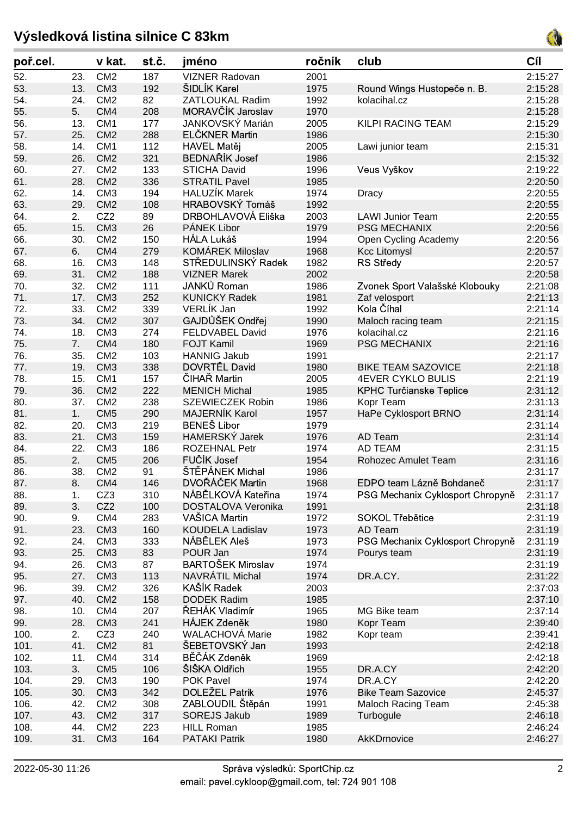## **Výsledková listina silnice C 83km**



| poř.cel. |     | v kat.          | st.č. | jméno                                         | ročník | club                             | Cíl     |
|----------|-----|-----------------|-------|-----------------------------------------------|--------|----------------------------------|---------|
| 52.      | 23. | CM <sub>2</sub> | 187   | <b>VIZNER Radovan</b>                         | 2001   |                                  | 2:15:27 |
| 53.      | 13. | CM <sub>3</sub> | 192   | ŠIDLÍK Karel                                  | 1975   | Round Wings Hustopeče n. B.      | 2:15:28 |
| 54.      | 24. | CM <sub>2</sub> | 82    | <b>ZATLOUKAL Radim</b>                        | 1992   | kolacihal.cz                     | 2:15:28 |
| 55.      | 5.  | CM4             | 208   | MORAVČÍK Jaroslav                             | 1970   |                                  | 2:15:28 |
| 56.      | 13. | CM <sub>1</sub> | 177   | JANKOVSKÝ Marián                              | 2005   | <b>KILPI RACING TEAM</b>         | 2:15:29 |
| 57.      | 25. | CM <sub>2</sub> | 288   | ELČKNER Martin                                | 1986   |                                  | 2:15:30 |
| 58.      | 14. | CM <sub>1</sub> | 112   | HAVEL Matěj                                   | 2005   | Lawi junior team                 | 2:15:31 |
| 59.      | 26. | CM <sub>2</sub> | 321   | <b>BEDNAŘÍK Josef</b>                         | 1986   |                                  | 2:15:32 |
| 60.      | 27. | CM <sub>2</sub> | 133   | <b>STICHA David</b>                           | 1996   | Veus Vyškov                      | 2:19:22 |
| 61.      | 28. | CM <sub>2</sub> | 336   | <b>STRATIL Pavel</b>                          | 1985   |                                  | 2:20:50 |
| 62.      | 14. | CM <sub>3</sub> | 194   | <b>HALUZÍK Marek</b>                          | 1974   | Dracy                            | 2:20:55 |
| 63.      | 29. | CM <sub>2</sub> | 108   | HRABOVSKÝ Tomáš                               | 1992   |                                  | 2:20:55 |
| 64.      | 2.  | CZ <sub>2</sub> | 89    | DRBOHLAVOVÁ Eliška                            | 2003   | <b>LAWI Junior Team</b>          | 2:20:55 |
| 65.      | 15. | CM <sub>3</sub> | 26    | PÁNEK Libor                                   | 1979   | <b>PSG MECHANIX</b>              | 2:20:56 |
| 66.      | 30. | CM <sub>2</sub> | 150   | HÁLA Lukáš                                    | 1994   | Open Cycling Academy             | 2:20:56 |
| 67.      | 6.  | CM4             | 279   | <b>KOMÁREK Miloslav</b>                       | 1968   | <b>Kcc Litomysl</b>              | 2:20:57 |
| 68.      | 16. | CM <sub>3</sub> | 148   | STŘEDULINSKÝ Radek                            | 1982   | <b>RS Středy</b>                 | 2:20:57 |
| 69.      | 31. | CM <sub>2</sub> | 188   | <b>VIZNER Marek</b>                           | 2002   |                                  | 2:20:58 |
| 70.      | 32. | CM <sub>2</sub> | 111   | JANKŮ Roman                                   | 1986   | Zvonek Sport Valašské Klobouky   | 2:21:08 |
| 71.      | 17. | CM <sub>3</sub> | 252   | <b>KUNICKY Radek</b>                          | 1981   | Zaf velosport                    | 2:21:13 |
| 72.      | 33. | CM <sub>2</sub> | 339   | VERLÍK Jan                                    | 1992   | Kola Číhal                       | 2:21:14 |
| 73.      | 34. | CM <sub>2</sub> | 307   | GAJDŮŠEK Ondřej                               | 1990   | Maloch racing team               | 2:21:15 |
| 74.      | 18. | CM <sub>3</sub> | 274   | FELDVABEL David                               | 1976   | kolacihal.cz                     | 2:21:16 |
| 75.      | 7.  | CM4             | 180   | <b>FOJT Kamil</b>                             | 1969   | <b>PSG MECHANIX</b>              | 2:21:16 |
| 76.      | 35. | CM <sub>2</sub> | 103   | <b>HANNIG Jakub</b>                           | 1991   |                                  | 2:21:17 |
| 77.      | 19. | CM <sub>3</sub> | 338   | DOVRTĚL David                                 | 1980   | <b>BIKE TEAM SAZOVICE</b>        | 2:21:18 |
| 78.      | 15. | CM <sub>1</sub> | 157   | ČIHAŘ Martin                                  | 2005   | <b>4EVER CYKLO BULIS</b>         | 2:21:19 |
|          | 36. | CM <sub>2</sub> | 222   | <b>MENICH Michal</b>                          | 1985   |                                  | 2:31:12 |
| 79.      |     | CM <sub>2</sub> |       | SZEWIECZEK Robin                              |        | <b>KPHC Turčianske Teplice</b>   |         |
| 80.      | 37. | CM <sub>5</sub> | 238   | <b>MAJERNÍK Karol</b>                         | 1986   | Kopr Team                        | 2:31:13 |
| 81.      | 1.  |                 | 290   | <b>BENEŠ Libor</b>                            | 1957   | HaPe Cyklosport BRNO             | 2:31:14 |
| 82.      | 20. | CM <sub>3</sub> | 219   |                                               | 1979   |                                  | 2:31:14 |
| 83.      | 21. | CM <sub>3</sub> | 159   | <b>HAMERSKÝ Jarek</b><br><b>ROZEHNAL Petr</b> | 1976   | AD Team                          | 2:31:14 |
| 84.      | 22. | CM <sub>3</sub> | 186   |                                               | 1974   | <b>AD TEAM</b>                   | 2:31:15 |
| 85.      | 2.  | CM <sub>5</sub> | 206   | FUČÍK Josef<br>ŠTĚPÁNEK Michal                | 1954   | Rohozec Amulet Team              | 2:31:16 |
| 86.      | 38. | CM <sub>2</sub> | 91    |                                               | 1986   |                                  | 2:31:17 |
| 87.      | 8.  | CM4             | 146   | DVOŘÁČEK Martin                               | 1968   | EDPO team Lázně Bohdaneč         | 2:31:17 |
| 88.      | 1.  | CZ <sub>3</sub> | 310   | NÁBĚLKOVÁ Kateřina                            | 1974   | PSG Mechanix Cyklosport Chropyně | 2:31:17 |
| 89.      | 3.  | CZ <sub>2</sub> | 100   | DOSTALOVA Veronika                            | 1991   |                                  | 2:31:18 |
| 90.      | 9.  | CM4             | 283   | VAŠICA Martin                                 | 1972   | SOKOL Třebětice                  | 2:31:19 |
| 91.      | 23. | CM <sub>3</sub> | 160   | <b>KOUDELA Ladislav</b>                       | 1973   | AD Team                          | 2:31:19 |
| 92.      | 24. | CM <sub>3</sub> | 333   | NÁBĚLEK Aleš                                  | 1973   | PSG Mechanix Cyklosport Chropyně | 2:31:19 |
| 93.      | 25. | CM <sub>3</sub> | 83    | POUR Jan                                      | 1974   | Pourys team                      | 2:31:19 |
| 94.      | 26. | CM <sub>3</sub> | 87    | <b>BARTOŠEK Miroslav</b>                      | 1974   |                                  | 2:31:19 |
| 95.      | 27. | CM <sub>3</sub> | 113   | NAVRÁTIL Michal                               | 1974   | DR.A.CY.                         | 2:31:22 |
| 96.      | 39. | CM <sub>2</sub> | 326   | KAŠÍK Radek                                   | 2003   |                                  | 2:37:03 |
| 97.      | 40. | CM <sub>2</sub> | 158   | <b>DODEK Radim</b>                            | 1985   |                                  | 2:37:10 |
| 98.      | 10. | CM4             | 207   | ŘEHÁK Vladimír                                | 1965   | MG Bike team                     | 2:37:14 |
| 99.      | 28. | CM <sub>3</sub> | 241   | <b>HÁJEK Zdeněk</b>                           | 1980   | Kopr Team                        | 2:39:40 |
| 100.     | 2.  | CZ <sub>3</sub> | 240   | <b>WALACHOVÁ Marie</b>                        | 1982   | Kopr team                        | 2:39:41 |
| 101.     | 41. | CM <sub>2</sub> | 81    | ŠEBETOVSKÝ Jan                                | 1993   |                                  | 2:42:18 |
| 102.     | 11. | CM4             | 314   | BĚČÁK Zdeněk                                  | 1969   |                                  | 2:42:18 |
| 103.     | 3.  | CM <sub>5</sub> | 106   | ŠIŠKA Oldřich                                 | 1955   | DR.A.CY                          | 2:42:20 |
| 104.     | 29. | CM <sub>3</sub> | 190   | <b>POK Pavel</b>                              | 1974   | DR.A.CY                          | 2:42:20 |
| 105.     | 30. | CM <sub>3</sub> | 342   | DOLEŽEL Patrik                                | 1976   | <b>Bike Team Sazovice</b>        | 2:45:37 |
| 106.     | 42. | CM <sub>2</sub> | 308   | ZABLOUDIL Štěpán                              | 1991   | <b>Maloch Racing Team</b>        | 2:45:38 |
| 107.     | 43. | CM <sub>2</sub> | 317   | SOREJS Jakub                                  | 1989   | Turbogule                        | 2:46:18 |
| 108.     | 44. | CM <sub>2</sub> | 223   | <b>HILL Roman</b>                             | 1985   |                                  | 2:46:24 |
| 109.     | 31. | CM <sub>3</sub> | 164   | <b>PATAKI Patrik</b>                          | 1980   | AkKDrnovice                      | 2:46:27 |